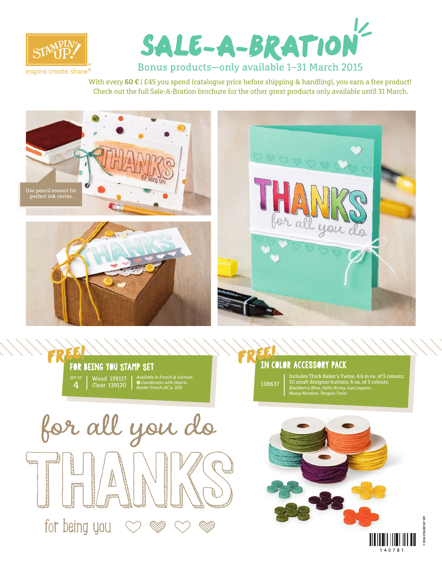



With every 60 € | £45 you spend (catalogue price before shipping & handling), you earn a free product! Check out the full Sale-A-Bration brochure for the other great products only available until 31 March.









## in color accessory pack FREE!

138637 Includes Thick Baker's Twine, 4.6 m ea. of 5 colours; 30 small designer buttons, 6 ea. of 5 colours. *Blackberry Bliss, Hello Honey, Lost Lagoon, Mossy Meadow, Tangelo Twist*





**© 2014 STAMPIN' UP!**